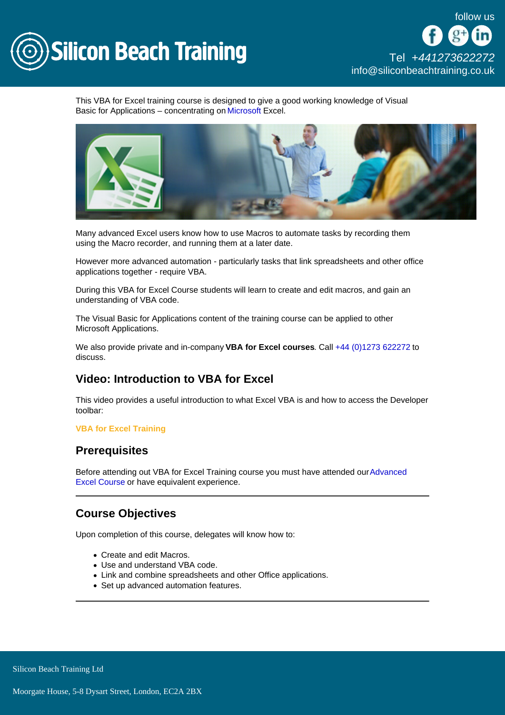

This VBA for Excel training course is designed to give a good working knowledge of Visual Basic for Applications – concentrating on [Microsoft](/microsoft-office-training) Excel.

Many advanced Excel users know how to use Macros to automate tasks by recording them using the Macro recorder, and running them at a later date.

However more advanced automation - particularly tasks that link spreadsheets and other office applications together - require VBA.

During this VBA for Excel Course students will learn to create and edit macros, and gain an understanding of VBA code.

The Visual Basic for Applications content of the training course can be applied to other Microsoft Applications.

We also provide private and in-company VBA for Excel courses . Call [+44 \(0\)1273 622272](tel:441273622272) to discuss.

# Video: Introduction to VBA for Excel

This video provides a useful introduction to what Excel VBA is and how to access the Developer toolbar:

#### VBA for Excel Training

### **Prerequisites**

Before attending out VBA for Excel Training course you must have attended our [Advanced](http://siliconbeachtraining.co.uk/microsoft-office-training/advanced-excel)  [Excel Course](http://siliconbeachtraining.co.uk/microsoft-office-training/advanced-excel) or have equivalent experience.

# Course Objectives

Upon completion of this course, delegates will know how to:

- Create and edit Macros.
- Use and understand VBA code.
- Link and combine spreadsheets and other Office applications.
- Set up advanced automation features.

Silicon Beach Training Ltd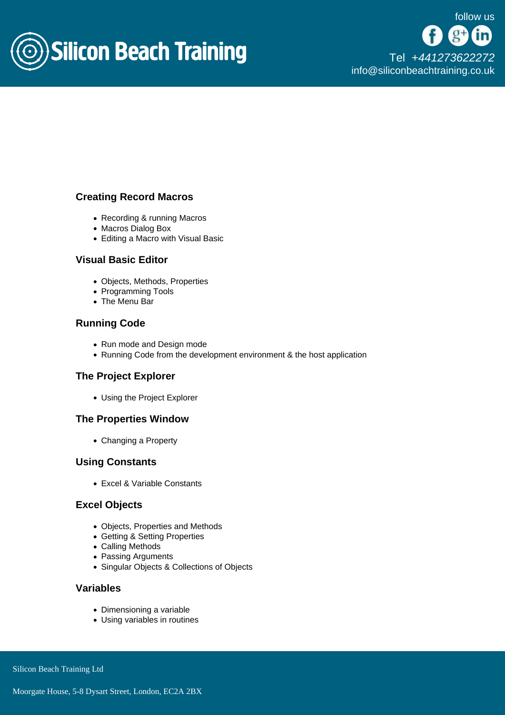

# Creating Record Macros

- Recording & running Macros
- Macros Dialog Box
- Editing a Macro with Visual Basic

### Visual Basic Editor

- Objects, Methods, Properties
- Programming Tools
- The Menu Bar

## Running Code

- Run mode and Design mode
- Running Code from the development environment & the host application

### The Project Explorer

Using the Project Explorer

#### The Properties Window

Changing a Property

#### Using Constants

Excel & Variable Constants

#### Excel Objects

- Objects, Properties and Methods
- Getting & Setting Properties
- Calling Methods
- Passing Arguments
- Singular Objects & Collections of Objects

### Variables

- Dimensioning a variable
- Using variables in routines

Silicon Beach Training Ltd